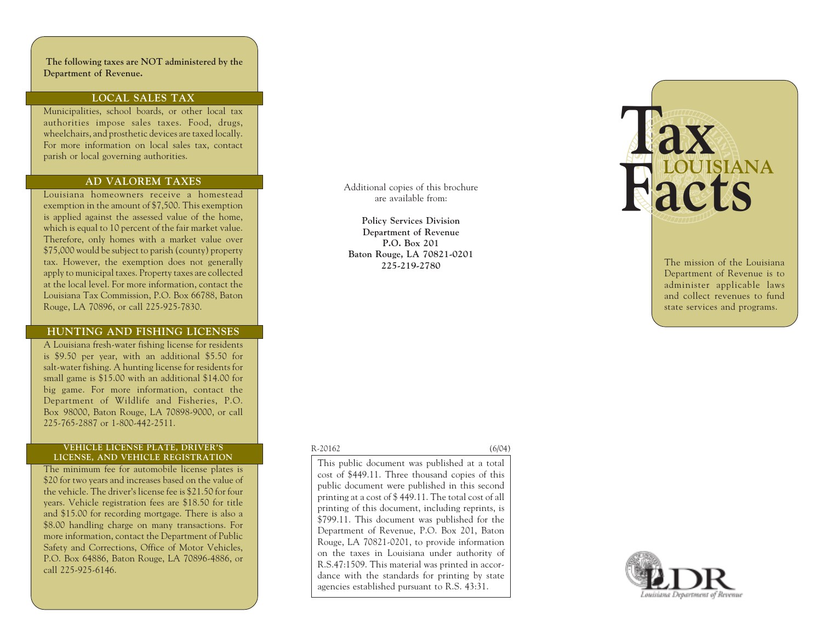**The following taxes are NOT administered by the Department of Revenue.**

## **LOCAL SALES TAX**

Municipalities, school boards, or other local tax authorities impose sales taxes. Food, drugs, wheelchairs, and prosthetic devices are taxed locally. For more information on local sales tax, contact parish or local governing authorities.

#### **AD VALOREM TAXES**

Louisiana homeowners receive a homestead exemption in the amount of \$7,500. This exemption is applied against the assessed value of the home, which is equal to 10 percent of the fair market value. Therefore, only homes with a market value over \$75,000 would be subject to parish (county) property tax. However, the exemption does not generally apply to municipal taxes. Property taxes are collected at the local level. For more information, contact the Louisiana Tax Commission, P.O. Box 66788, Baton Rouge, LA 70896, or call 225-925-7830.

#### **HUNTING AND FISHING LICENSES**

A Louisiana fresh-water fishing license for residents is \$9.50 per year, with an additional \$5.50 for salt-water fishing. A hunting license for residents for small game is \$15.00 with an additional \$14.00 for big game. For more information, contact the Department of Wildlife and Fisheries, P.O. Box98000, Baton Rouge, LA 70898-9000, or call 225-765-2887 or 1-800-442-2511.

#### **VEHICLE LICENSE PLATE, DRIVER'S LICENSE, AND VEHICLE REGISTRATION**

The minimum fee for automobile license plates is \$20 for two years and increases based on the value of the vehicle. The driver's license fee is \$21.50 for four years. Vehicle registration fees are \$18.50 for title and \$15.00 for recording mortgage. There is also a \$8.00 handling charge on many transactions. For more information, contact the Department of Public Safety and Corrections, Office of Motor Vehicles, P.O. Box 64886, Baton Rouge, LA 70896-4886, or call 225-925-6146.

Additional copies of this brochure are available from:

**Policy Services Division Department of Revenue P.O. Box 201 Baton Rouge, LA 70821-0201 225-219-2780**

#### R-20162 (6/04)

This public document was published at a total cost of \$449.11. Three thousand copies of this public document were published in this second printing at a cost of \$ 449.11. The total cost of all printing of this document, including reprints, is \$799.11. This document was published for the Department of Revenue, P.O. Box 201, Baton Rouge, LA 70821-0201, to provide information on the taxes in Louisiana under authority of R.S.47:1509. This material was printed in accordance with the standards for printing by state agencies established pursuant to R.S. 43:31.



The mission of the Louisiana Department of Revenue is to administer applicable laws and collect revenues to fund state services and programs.